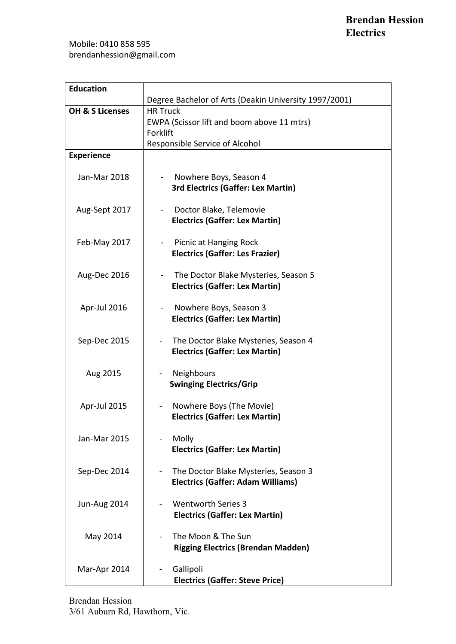| <b>Education</b>                                                                                     |                                                                                                                                                                                                                                                                                                                                                                                                                                                                                                                           |
|------------------------------------------------------------------------------------------------------|---------------------------------------------------------------------------------------------------------------------------------------------------------------------------------------------------------------------------------------------------------------------------------------------------------------------------------------------------------------------------------------------------------------------------------------------------------------------------------------------------------------------------|
|                                                                                                      | Degree Bachelor of Arts (Deakin University 1997/2001)                                                                                                                                                                                                                                                                                                                                                                                                                                                                     |
| <b>OH &amp; S Licenses</b>                                                                           | <b>HR Truck</b>                                                                                                                                                                                                                                                                                                                                                                                                                                                                                                           |
|                                                                                                      | EWPA (Scissor lift and boom above 11 mtrs)                                                                                                                                                                                                                                                                                                                                                                                                                                                                                |
|                                                                                                      | Forklift                                                                                                                                                                                                                                                                                                                                                                                                                                                                                                                  |
|                                                                                                      | Responsible Service of Alcohol                                                                                                                                                                                                                                                                                                                                                                                                                                                                                            |
| <b>Experience</b>                                                                                    |                                                                                                                                                                                                                                                                                                                                                                                                                                                                                                                           |
|                                                                                                      |                                                                                                                                                                                                                                                                                                                                                                                                                                                                                                                           |
| Jan-Mar 2018                                                                                         | Nowhere Boys, Season 4                                                                                                                                                                                                                                                                                                                                                                                                                                                                                                    |
|                                                                                                      | 3rd Electrics (Gaffer: Lex Martin)                                                                                                                                                                                                                                                                                                                                                                                                                                                                                        |
|                                                                                                      |                                                                                                                                                                                                                                                                                                                                                                                                                                                                                                                           |
| Aug-Sept 2017                                                                                        | Doctor Blake, Telemovie                                                                                                                                                                                                                                                                                                                                                                                                                                                                                                   |
|                                                                                                      | <b>Electrics (Gaffer: Lex Martin)</b>                                                                                                                                                                                                                                                                                                                                                                                                                                                                                     |
|                                                                                                      |                                                                                                                                                                                                                                                                                                                                                                                                                                                                                                                           |
| Feb-May 2017                                                                                         | Picnic at Hanging Rock                                                                                                                                                                                                                                                                                                                                                                                                                                                                                                    |
|                                                                                                      | <b>Electrics (Gaffer: Les Frazier)</b>                                                                                                                                                                                                                                                                                                                                                                                                                                                                                    |
|                                                                                                      |                                                                                                                                                                                                                                                                                                                                                                                                                                                                                                                           |
| Aug-Dec 2016                                                                                         | The Doctor Blake Mysteries, Season 5                                                                                                                                                                                                                                                                                                                                                                                                                                                                                      |
|                                                                                                      | <b>Electrics (Gaffer: Lex Martin)</b>                                                                                                                                                                                                                                                                                                                                                                                                                                                                                     |
|                                                                                                      |                                                                                                                                                                                                                                                                                                                                                                                                                                                                                                                           |
| Apr-Jul 2016                                                                                         | Nowhere Boys, Season 3                                                                                                                                                                                                                                                                                                                                                                                                                                                                                                    |
|                                                                                                      | <b>Electrics (Gaffer: Lex Martin)</b>                                                                                                                                                                                                                                                                                                                                                                                                                                                                                     |
|                                                                                                      |                                                                                                                                                                                                                                                                                                                                                                                                                                                                                                                           |
| Sep-Dec 2015                                                                                         | The Doctor Blake Mysteries, Season 4                                                                                                                                                                                                                                                                                                                                                                                                                                                                                      |
|                                                                                                      |                                                                                                                                                                                                                                                                                                                                                                                                                                                                                                                           |
|                                                                                                      |                                                                                                                                                                                                                                                                                                                                                                                                                                                                                                                           |
|                                                                                                      |                                                                                                                                                                                                                                                                                                                                                                                                                                                                                                                           |
|                                                                                                      |                                                                                                                                                                                                                                                                                                                                                                                                                                                                                                                           |
|                                                                                                      |                                                                                                                                                                                                                                                                                                                                                                                                                                                                                                                           |
|                                                                                                      |                                                                                                                                                                                                                                                                                                                                                                                                                                                                                                                           |
|                                                                                                      |                                                                                                                                                                                                                                                                                                                                                                                                                                                                                                                           |
|                                                                                                      |                                                                                                                                                                                                                                                                                                                                                                                                                                                                                                                           |
|                                                                                                      |                                                                                                                                                                                                                                                                                                                                                                                                                                                                                                                           |
|                                                                                                      |                                                                                                                                                                                                                                                                                                                                                                                                                                                                                                                           |
|                                                                                                      |                                                                                                                                                                                                                                                                                                                                                                                                                                                                                                                           |
|                                                                                                      |                                                                                                                                                                                                                                                                                                                                                                                                                                                                                                                           |
|                                                                                                      |                                                                                                                                                                                                                                                                                                                                                                                                                                                                                                                           |
|                                                                                                      |                                                                                                                                                                                                                                                                                                                                                                                                                                                                                                                           |
|                                                                                                      |                                                                                                                                                                                                                                                                                                                                                                                                                                                                                                                           |
|                                                                                                      |                                                                                                                                                                                                                                                                                                                                                                                                                                                                                                                           |
|                                                                                                      |                                                                                                                                                                                                                                                                                                                                                                                                                                                                                                                           |
|                                                                                                      |                                                                                                                                                                                                                                                                                                                                                                                                                                                                                                                           |
|                                                                                                      |                                                                                                                                                                                                                                                                                                                                                                                                                                                                                                                           |
|                                                                                                      |                                                                                                                                                                                                                                                                                                                                                                                                                                                                                                                           |
|                                                                                                      |                                                                                                                                                                                                                                                                                                                                                                                                                                                                                                                           |
|                                                                                                      |                                                                                                                                                                                                                                                                                                                                                                                                                                                                                                                           |
| Aug 2015<br>Apr-Jul 2015<br>Jan-Mar 2015<br>Sep-Dec 2014<br>Jun-Aug 2014<br>May 2014<br>Mar-Apr 2014 | <b>Electrics (Gaffer: Lex Martin)</b><br><b>Neighbours</b><br><b>Swinging Electrics/Grip</b><br>Nowhere Boys (The Movie)<br>$\blacksquare$<br><b>Electrics (Gaffer: Lex Martin)</b><br>Molly<br><b>Electrics (Gaffer: Lex Martin)</b><br>The Doctor Blake Mysteries, Season 3<br><b>Electrics (Gaffer: Adam Williams)</b><br><b>Wentworth Series 3</b><br><b>Electrics (Gaffer: Lex Martin)</b><br>The Moon & The Sun<br><b>Rigging Electrics (Brendan Madden)</b><br>Gallipoli<br><b>Electrics (Gaffer: Steve Price)</b> |

Brendan Hession 3/61 Auburn Rd, Hawthorn, Vic.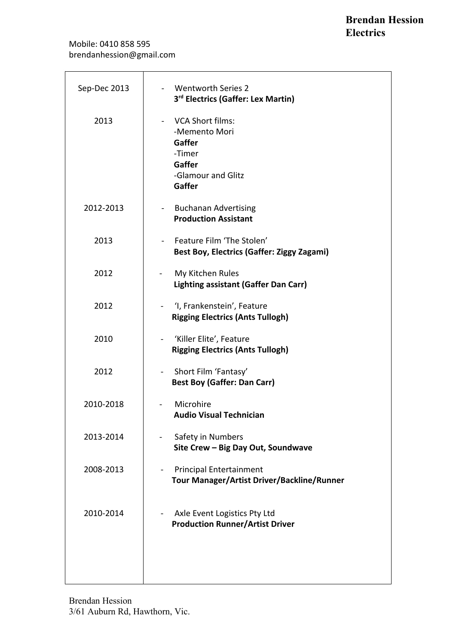| Sep-Dec 2013 | - Wentworth Series 2<br>3rd Electrics (Gaffer: Lex Martin)                                        |
|--------------|---------------------------------------------------------------------------------------------------|
| 2013         | - VCA Short films:<br>-Memento Mori<br>Gaffer<br>-Timer<br>Gaffer<br>-Glamour and Glitz<br>Gaffer |
| 2012-2013    | - Buchanan Advertising<br><b>Production Assistant</b>                                             |
| 2013         | - Feature Film 'The Stolen'<br><b>Best Boy, Electrics (Gaffer: Ziggy Zagami)</b>                  |
| 2012         | My Kitchen Rules<br>$\blacksquare$<br><b>Lighting assistant (Gaffer Dan Carr)</b>                 |
| 2012         | 'I, Frankenstein', Feature<br><b>Rigging Electrics (Ants Tullogh)</b>                             |
| 2010         | 'Killer Elite', Feature<br><b>Rigging Electrics (Ants Tullogh)</b>                                |
| 2012         | - Short Film 'Fantasy'<br><b>Best Boy (Gaffer: Dan Carr)</b>                                      |
| 2010-2018    | Microhire<br><b>Audio Visual Technician</b>                                                       |
| 2013-2014    | Safety in Numbers<br>Site Crew - Big Day Out, Soundwave                                           |
| 2008-2013    | <b>Principal Entertainment</b><br>Tour Manager/Artist Driver/Backline/Runner                      |
| 2010-2014    | Axle Event Logistics Pty Ltd<br><b>Production Runner/Artist Driver</b>                            |
|              |                                                                                                   |